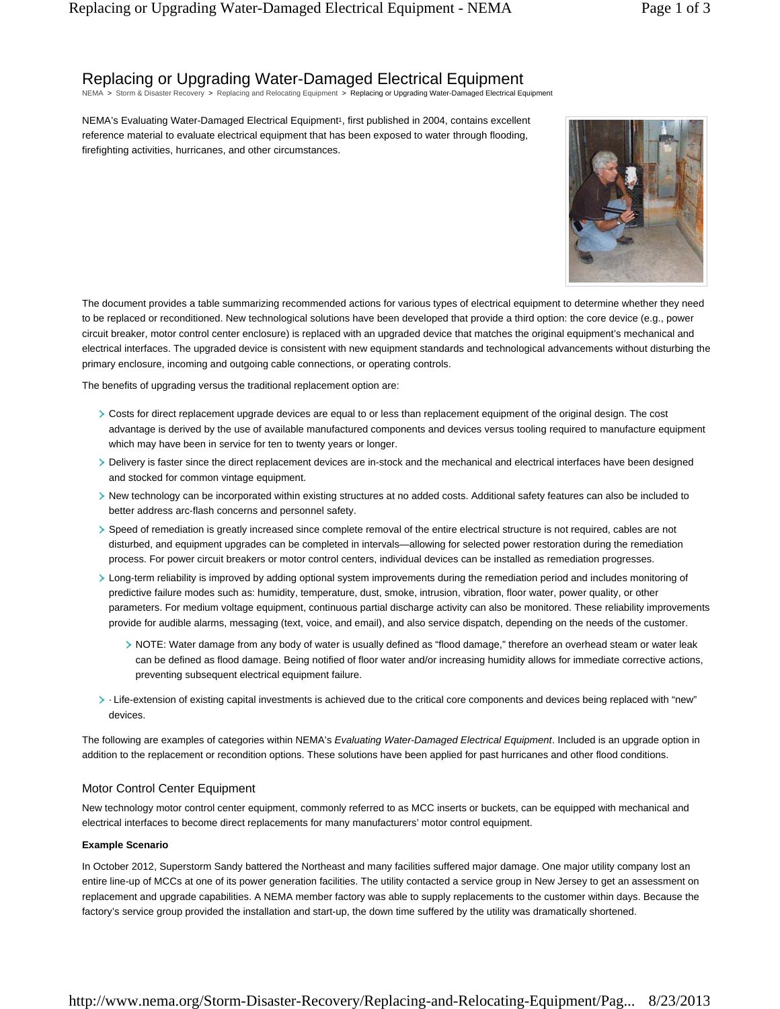## Replacing or Upgrading Water-Damaged Electrical Equipment

NEMA > Storm & Disaster Recovery > Replacing and Relocating Equipment > Replacing or Upgrading Water-Damaged Electrical Equipment

NEMA's Evaluating Water-Damaged Electrical Equipment<sup>1</sup>, first published in 2004, contains excellent reference material to evaluate electrical equipment that has been exposed to water through flooding, firefighting activities, hurricanes, and other circumstances.



The document provides a table summarizing recommended actions for various types of electrical equipment to determine whether they need to be replaced or reconditioned. New technological solutions have been developed that provide a third option: the core device (e.g., power circuit breaker, motor control center enclosure) is replaced with an upgraded device that matches the original equipment's mechanical and electrical interfaces. The upgraded device is consistent with new equipment standards and technological advancements without disturbing the primary enclosure, incoming and outgoing cable connections, or operating controls.

The benefits of upgrading versus the traditional replacement option are:

- Costs for direct replacement upgrade devices are equal to or less than replacement equipment of the original design. The cost advantage is derived by the use of available manufactured components and devices versus tooling required to manufacture equipment which may have been in service for ten to twenty years or longer.
- > Delivery is faster since the direct replacement devices are in-stock and the mechanical and electrical interfaces have been designed and stocked for common vintage equipment.
- New technology can be incorporated within existing structures at no added costs. Additional safety features can also be included to better address arc-flash concerns and personnel safety.
- Speed of remediation is greatly increased since complete removal of the entire electrical structure is not required, cables are not disturbed, and equipment upgrades can be completed in intervals—allowing for selected power restoration during the remediation process. For power circuit breakers or motor control centers, individual devices can be installed as remediation progresses.
- Long-term reliability is improved by adding optional system improvements during the remediation period and includes monitoring of predictive failure modes such as: humidity, temperature, dust, smoke, intrusion, vibration, floor water, power quality, or other parameters. For medium voltage equipment, continuous partial discharge activity can also be monitored. These reliability improvements provide for audible alarms, messaging (text, voice, and email), and also service dispatch, depending on the needs of the customer.
	- > NOTE: Water damage from any body of water is usually defined as "flood damage," therefore an overhead steam or water leak can be defined as flood damage. Being notified of floor water and/or increasing humidity allows for immediate corrective actions, preventing subsequent electrical equipment failure.
- · Life-extension of existing capital investments is achieved due to the critical core components and devices being replaced with "new" devices.

The following are examples of categories within NEMA's *Evaluating Water-Damaged Electrical Equipment*. Included is an upgrade option in addition to the replacement or recondition options. These solutions have been applied for past hurricanes and other flood conditions.

## Motor Control Center Equipment

New technology motor control center equipment, commonly referred to as MCC inserts or buckets, can be equipped with mechanical and electrical interfaces to become direct replacements for many manufacturers' motor control equipment.

## **Example Scenario**

In October 2012, Superstorm Sandy battered the Northeast and many facilities suffered major damage. One major utility company lost an entire line-up of MCCs at one of its power generation facilities. The utility contacted a service group in New Jersey to get an assessment on replacement and upgrade capabilities. A NEMA member factory was able to supply replacements to the customer within days. Because the factory's service group provided the installation and start-up, the down time suffered by the utility was dramatically shortened.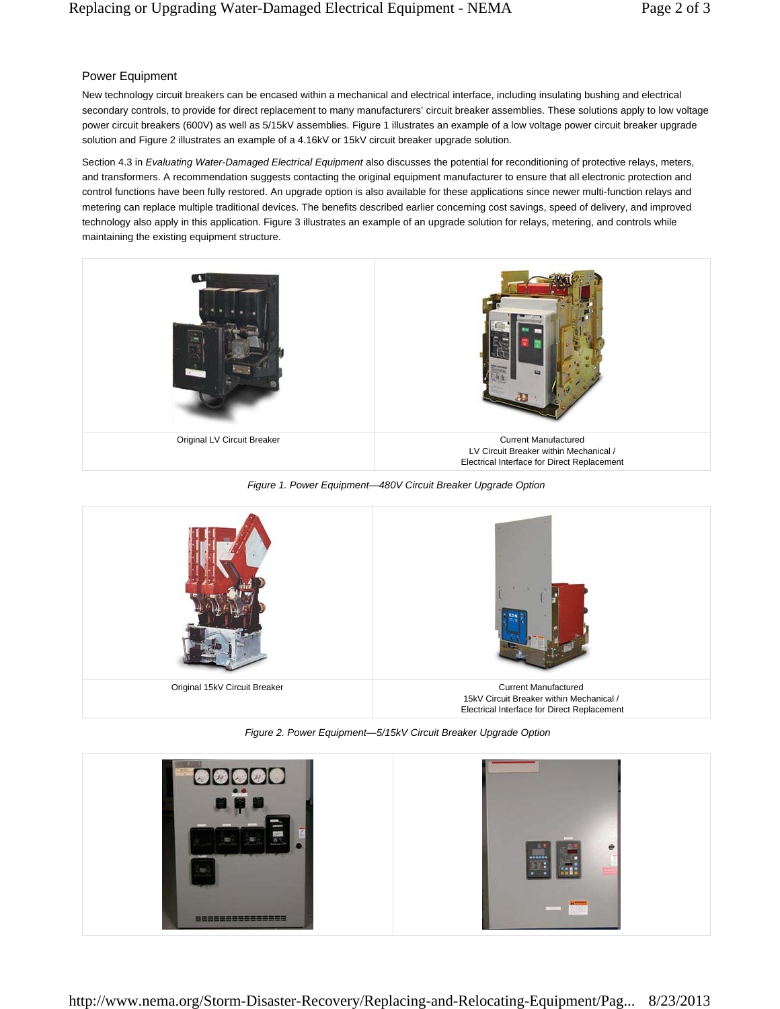## Power Equipment

New technology circuit breakers can be encased within a mechanical and electrical interface, including insulating bushing and electrical secondary controls, to provide for direct replacement to many manufacturers' circuit breaker assemblies. These solutions apply to low voltage power circuit breakers (600V) as well as 5/15kV assemblies. Figure 1 illustrates an example of a low voltage power circuit breaker upgrade solution and Figure 2 illustrates an example of a 4.16kV or 15kV circuit breaker upgrade solution.

Section 4.3 in *Evaluating Water-Damaged Electrical Equipment* also discusses the potential for reconditioning of protective relays, meters, and transformers. A recommendation suggests contacting the original equipment manufacturer to ensure that all electronic protection and control functions have been fully restored. An upgrade option is also available for these applications since newer multi-function relays and metering can replace multiple traditional devices. The benefits described earlier concerning cost savings, speed of delivery, and improved technology also apply in this application. Figure 3 illustrates an example of an upgrade solution for relays, metering, and controls while maintaining the existing equipment structure.



*Figure 1. Power Equipment—480V Circuit Breaker Upgrade Option*



*Figure 2. Power Equipment—5/15kV Circuit Breaker Upgrade Option*